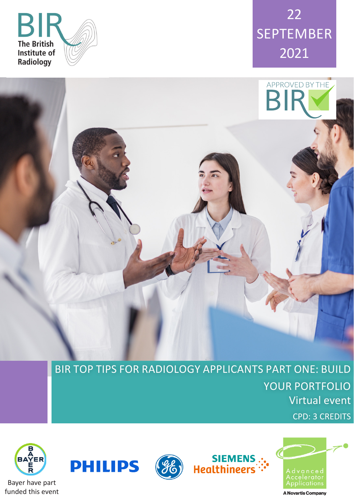





BIR TOP TIPS FOR RADIOLOGY APPLICANTS PART ONE: BUILD YOUR PORTFOLIO Virtual event CPD: 3 CREDITS

siEMENS<br>":-<br>Healthineers









A Novartis Company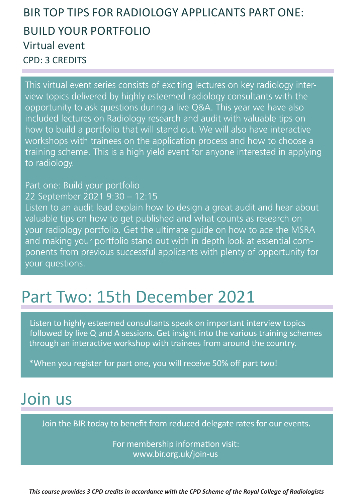#### BIR TOP TIPS FOR RADIOLOGY APPLICANTS PART ONE: BUILD YOUR PORTFOLIO Virtual event CPD: 3 CREDITS

This virtual event series consists of exciting lectures on key radiology interview topics delivered by highly esteemed radiology consultants with the opportunity to ask questions during a live Q&A. This year we have also included lectures on Radiology research and audit with valuable tips on how to build a portfolio that will stand out. We will also have interactive workshops with trainees on the application process and how to choose a training scheme. This is a high yield event for anyone interested in applying to radiology.

Part one: Build your portfolio 22 September 2021 9:30 – 12:15

Listen to an audit lead explain how to design a great audit and hear about valuable tips on how to get published and what counts as research on your radiology portfolio. Get the ultimate guide on how to ace the MSRA and making your portfolio stand out with in depth look at essential components from previous successful applicants with plenty of opportunity for your questions.

## Part Two: 15th December 2021

Listen to highly esteemed consultants speak on important interview topics followed by live Q and A sessions. Get insight into the various training schemes through an interactive workshop with trainees from around the country.

\*When you register for part one, you will receive 50% off part two!

## Join us

Join the BIR today to benefit from reduced delegate rates for our events.

For membership information visit: www.bir.org.uk/join-us

*This course provides 3 CPD credits in accordance with the CPD Scheme of the Royal College of Radiologists*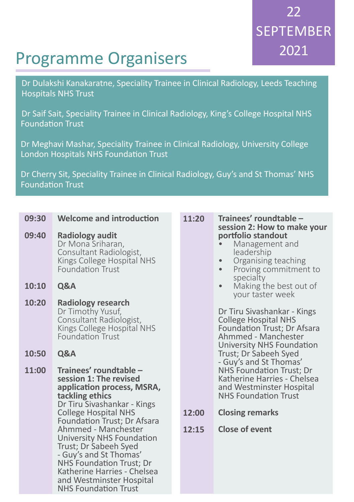22 SEPTEMBER 2021

# Programme Organisers

Dr Dulakshi Kanakaratne, Speciality Trainee in Clinical Radiology, Leeds Teaching Hospitals NHS Trust

Dr Saif Sait, Speciality Trainee in Clinical Radiology, King's College Hospital NHS Foundation Trust

Dr Meghavi Mashar, Speciality Trainee in Clinical Radiology, University College London Hospitals NHS Foundation Trust

Dr Cherry Sit, Speciality Trainee in Clinical Radiology, Guy's and St Thomas' NHS Foundation Trust

| 09:30          | <b>Welcome and introduction</b>                                                                                                                                                                                       | 11:20          | Trainees' roundtable -<br>session 2: How to make your                                                                                                                                                                                                                                                                                                                     |
|----------------|-----------------------------------------------------------------------------------------------------------------------------------------------------------------------------------------------------------------------|----------------|---------------------------------------------------------------------------------------------------------------------------------------------------------------------------------------------------------------------------------------------------------------------------------------------------------------------------------------------------------------------------|
| 09:40          | <b>Radiology audit</b><br>Dr Mona Sriharan,<br>Consultant Radiologist,<br>Kings College Hospital NHS<br><b>Foundation Trust</b>                                                                                       |                | portfolio standout<br>Management and<br>leadership<br>Organising teaching<br>$\bullet$<br>Proving commitment to<br>$\bullet$<br>specialty                                                                                                                                                                                                                                 |
| 10:10          | Q&A                                                                                                                                                                                                                   |                | Making the best out of<br>$\bullet$<br>your taster week                                                                                                                                                                                                                                                                                                                   |
| 10:20<br>10:50 | <b>Radiology research</b><br>Dr Timothy Yusuf,<br>Consultant Radiologist,<br>Kings College Hospital NHS<br><b>Foundation Trust</b><br>Q&A                                                                             |                | Dr Tiru Sivashankar - Kings<br><b>College Hospital NHS</b><br>Foundation Trust; Dr Afsara<br>Ahmmed - Manchester<br>University NHS Foundation<br>Trust; Dr Sabeeh Syed<br>- Guy's and St Thomas'<br>NHS Foundation Trust; Dr<br>Katherine Harries - Chelsea<br>and Westminster Hospital<br><b>NHS Foundation Trust</b><br><b>Closing remarks</b><br><b>Close of event</b> |
| 11:00          | Trainees' roundtable -<br>session 1: The revised<br>application process, MSRA,<br>tackling ethics<br>Dr Tiru Sivashankar - Kings<br><b>College Hospital NHS</b><br>Foundation Trust; Dr Afsara<br>Ahmmed - Manchester | 12:00<br>12:15 |                                                                                                                                                                                                                                                                                                                                                                           |
|                | University NHS Foundation<br>Trust; Dr Sabeeh Syed<br>- Guy's and St Thomas'<br>NHS Foundation Trust; Dr<br>Katherine Harries - Chelsea<br>and Westminster Hospital<br><b>NHS Foundation Trust</b>                    |                |                                                                                                                                                                                                                                                                                                                                                                           |